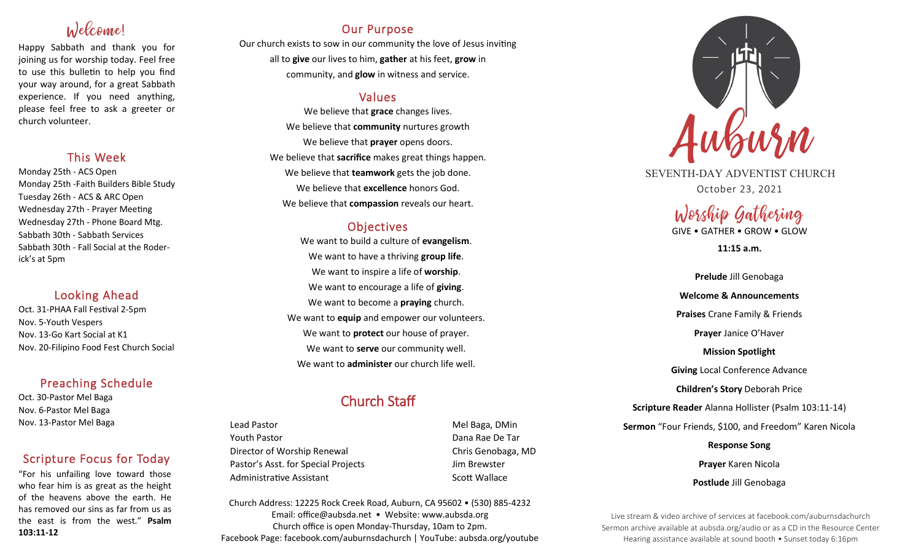# Welcome!

Happy Sabbath and thank you for joining us for worship today. Feel free to use this bulletin to help you find your way around, for a great Sabbath experience. If you need anything, please feel free to ask a greeter or church volunteer.

#### This Week

Monday 25th - ACS Open Monday 25th -Faith Builders Bible Study Tuesday 26th - ACS & ARC Open Wednesday 27th - Prayer Meeting Wednesday 27th - Phone Board Mtg. Sabbath 30th - Sabbath Services Sabbath 30th - Fall Social at the Roderick's at 5pm

## Looking Ahead

Oct. 31-PHAA Fall Festival 2-5pm Nov. 5-Youth Vespers Nov. 13-Go Kart Social at K1 Nov. 20-Filipino Food Fest Church Social

## Preaching Schedule

Oct. 30-Pastor Mel Baga Nov. 6-Pastor Mel Baga Nov. 13-Pastor Mel Baga

## Scripture Focus for Today

"For his unfailing love toward those who fear him is as great as the height of the heavens above the earth. He has removed our sins as far from us as the east is from the west." **Psalm 103:11-12**

## Our Purpose

Our church exists to sow in our community the love of Jesus inviting all to **give** our lives to him, **gather** at his feet, **grow** in community, and **glow** in witness and service.

## Values

We believe that **grace** changes lives. We believe that **community** nurtures growth We believe that **prayer** opens doors. We believe that **sacrifice** makes great things happen. We believe that **teamwork** gets the job done. We believe that **excellence** honors God. We believe that **compassion** reveals our heart.

## **Objectives**

We want to build a culture of **evangelism**. We want to have a thriving **group life**. We want to inspire a life of **worship**. We want to encourage a life of **giving**. We want to become a **praying** church. We want to **equip** and empower our volunteers. We want to **protect** our house of prayer. We want to **serve** our community well. We want to **administer** our church life well.

## Church Staff

Lead Pastor Nell Baga, DMin Youth Pastor Dana Rae De Tar Director of Worship Renewal Chris Genobaga, MD Pastor's Asst. for Special Projects Fig. 3.1 Jim Brewster Administrative Assistant National Controllery Scott Wallace

Church Address: 12225 Rock Creek Road, Auburn, CA 95602 • (530) 885-4232 Email: office@aubsda.net • Website: www.aubsda.org Church office is open Monday-Thursday, 10am to 2pm. Facebook Page: facebook.com/auburnsdachurch | YouTube: aubsda.org/youtube



SEVENTH-DAY ADVENTIST CHURCH October 23, 2021

# Worship Gathering

GIVE • GATHER • GROW • GLOW

**11:15 a.m.**

**Prelude** Jill Genobaga **Welcome & Announcements Praises** Crane Family & Friends **Prayer** Janice O'Haver **Mission Spotlight Giving** Local Conference Advance **Children's Story** Deborah Price **Scripture Reader** Alanna Hollister (Psalm 103:11-14) **Sermon** "Four Friends, \$100, and Freedom" Karen Nicola **Response Song Prayer** Karen Nicola **Postlude** Jill Genobaga

Live stream & video archive of services at facebook.com/auburnsdachurch Sermon archive available at aubsda.org/audio or as a CD in the Resource Center Hearing assistance available at sound booth • Sunset today 6:16pm